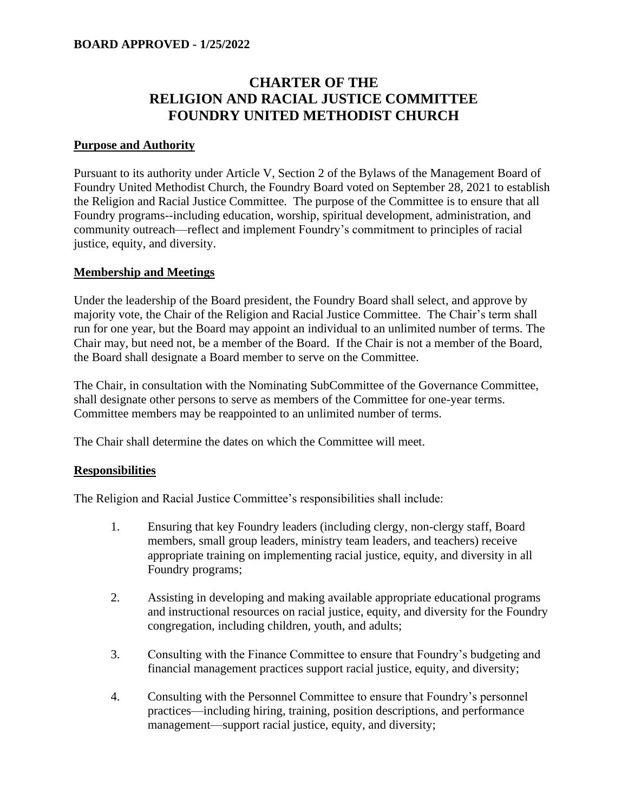## **BOARD APPROVED - 1/25/2022**

# **CHARTER OF THE RELIGION AND RACIAL JUSTICE COMMITTEE FOUNDRY UNITED METHODIST CHURCH**

#### **Purpose and Authority**

Pursuant to its authority under Article V, Section 2 of the Bylaws of the Management Board of Foundry United Methodist Church, the Foundry Board voted on September 28, 2021 to establish the Religion and Racial Justice Committee. The purpose of the Committee is to ensure that all Foundry programs--including education, worship, spiritual development, administration, and community outreach—reflect and implement Foundry's commitment to principles of racial justice, equity, and diversity.

#### **Membership and Meetings**

Under the leadership of the Board president, the Foundry Board shall select, and approve by majority vote, the Chair of the Religion and Racial Justice Committee. The Chair's term shall run for one year, but the Board may appoint an individual to an unlimited number of terms. The Chair may, but need not, be a member of the Board. If the Chair is not a member of the Board, the Board shall designate a Board member to serve on the Committee.

The Chair, in consultation with the Nominating SubCommittee of the Governance Committee, shall designate other persons to serve as members of the Committee for one-year terms. Committee members may be reappointed to an unlimited number of terms.

The Chair shall determine the dates on which the Committee will meet.

### **Responsibilities**

The Religion and Racial Justice Committee's responsibilities shall include:

- 1. Ensuring that key Foundry leaders (including clergy, non-clergy staff, Board members, small group leaders, ministry team leaders, and teachers) receive appropriate training on implementing racial justice, equity, and diversity in all Foundry programs;
- 2. Assisting in developing and making available appropriate educational programs and instructional resources on racial justice, equity, and diversity for the Foundry congregation, including children, youth, and adults;
- 3. Consulting with the Finance Committee to ensure that Foundry's budgeting and financial management practices support racial justice, equity, and diversity;
- 4. Consulting with the Personnel Committee to ensure that Foundry's personnel practices—including hiring, training, position descriptions, and performance management—support racial justice, equity, and diversity;